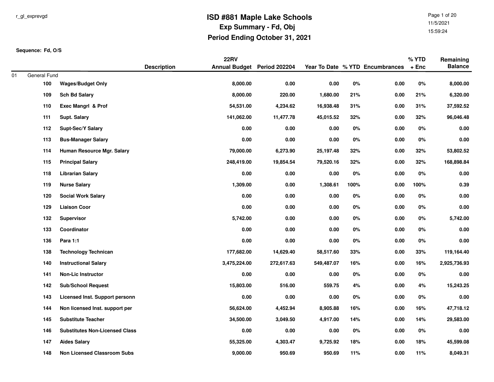Page 1 of 2011/5/202115:59:24

|    |                     |                                       |                    | <b>22RV</b>                 |            |            |       |                                 | % YTD   | Remaining      |
|----|---------------------|---------------------------------------|--------------------|-----------------------------|------------|------------|-------|---------------------------------|---------|----------------|
|    |                     |                                       | <b>Description</b> | Annual Budget Period 202204 |            |            |       | Year To Date % YTD Encumbrances | $+$ Enc | <b>Balance</b> |
| 01 | General Fund<br>100 | <b>Wages/Budget Only</b>              |                    | 8,000.00                    | 0.00       | 0.00       | $0\%$ | 0.00                            | $0\%$   | 8,000.00       |
|    |                     |                                       |                    |                             |            |            |       |                                 | 21%     |                |
|    | 109                 | <b>Sch Bd Salary</b>                  |                    | 8,000.00                    | 220.00     | 1,680.00   | 21%   | 0.00                            |         | 6,320.00       |
|    | 110                 | Exec Mangrl & Prof                    |                    | 54,531.00                   | 4,234.62   | 16,938.48  | 31%   | 0.00                            | 31%     | 37,592.52      |
|    | 111                 | Supt. Salary                          |                    | 141,062.00                  | 11,477.78  | 45,015.52  | 32%   | 0.00                            | 32%     | 96,046.48      |
|    | 112                 | <b>Supt-Sec/Y Salary</b>              |                    | 0.00                        | 0.00       | 0.00       | $0\%$ | 0.00                            | $0\%$   | $0.00\,$       |
|    | 113                 | <b>Bus-Manager Salary</b>             |                    | 0.00                        | 0.00       | 0.00       | 0%    | 0.00                            | 0%      | 0.00           |
|    | 114                 | Human Resource Mgr. Salary            |                    | 79,000.00                   | 6,273.90   | 25,197.48  | 32%   | 0.00                            | 32%     | 53,802.52      |
|    | 115                 | <b>Principal Salary</b>               |                    | 248,419.00                  | 19,854.54  | 79,520.16  | 32%   | 0.00                            | 32%     | 168,898.84     |
|    | 118                 | <b>Librarian Salary</b>               |                    | 0.00                        | 0.00       | 0.00       | $0\%$ | 0.00                            | 0%      | $0.00\,$       |
|    | 119                 | <b>Nurse Salary</b>                   |                    | 1,309.00                    | 0.00       | 1,308.61   | 100%  | 0.00                            | 100%    | 0.39           |
|    | 120                 | <b>Social Work Salary</b>             |                    | $0.00\,$                    | 0.00       | 0.00       | 0%    | 0.00                            | $0\%$   | 0.00           |
|    | 129                 | <b>Liaison Coor</b>                   |                    | 0.00                        | 0.00       | 0.00       | 0%    | 0.00                            | $0\%$   | 0.00           |
|    | 132                 | Supervisor                            |                    | 5,742.00                    | 0.00       | 0.00       | $0\%$ | 0.00                            | 0%      | 5,742.00       |
|    | 133                 | Coordinator                           |                    | 0.00                        | 0.00       | 0.00       | 0%    | 0.00                            | 0%      | 0.00           |
|    | 136                 | Para 1:1                              |                    | $0.00\,$                    | 0.00       | 0.00       | 0%    | 0.00                            | 0%      | 0.00           |
|    | 138                 | <b>Technology Technican</b>           |                    | 177,682.00                  | 14,629.40  | 58,517.60  | 33%   | 0.00                            | 33%     | 119,164.40     |
|    | 140                 | <b>Instructional Salary</b>           |                    | 3,475,224.00                | 272,617.63 | 549,487.07 | 16%   | 0.00                            | 16%     | 2,925,736.93   |
|    | 141                 | <b>Non-Lic Instructor</b>             |                    | 0.00                        | 0.00       | 0.00       | 0%    | 0.00                            | 0%      | 0.00           |
|    | 142                 | <b>Sub/School Request</b>             |                    | 15,803.00                   | 516.00     | 559.75     | 4%    | 0.00                            | 4%      | 15,243.25      |
|    | 143                 | Licensed Inst. Support personn        |                    | 0.00                        | 0.00       | 0.00       | 0%    | 0.00                            | 0%      | 0.00           |
|    | 144                 | Non licensed Inst. support per        |                    | 56,624.00                   | 4,452.94   | 8,905.88   | 16%   | 0.00                            | 16%     | 47,718.12      |
|    | 145                 | <b>Substitute Teacher</b>             |                    | 34,500.00                   | 3,049.50   | 4,917.00   | 14%   | 0.00                            | 14%     | 29,583.00      |
|    | 146                 | <b>Substitutes Non-Licensed Class</b> |                    | $0.00\,$                    | 0.00       | 0.00       | 0%    | 0.00                            | 0%      | 0.00           |
|    | 147                 | <b>Aides Salary</b>                   |                    | 55,325.00                   | 4,303.47   | 9,725.92   | 18%   | 0.00                            | 18%     | 45,599.08      |
|    | 148                 | <b>Non Licensed Classroom Subs</b>    |                    | 9,000.00                    | 950.69     | 950.69     | 11%   | 0.00                            | 11%     | 8,049.31       |
|    |                     |                                       |                    |                             |            |            |       |                                 |         |                |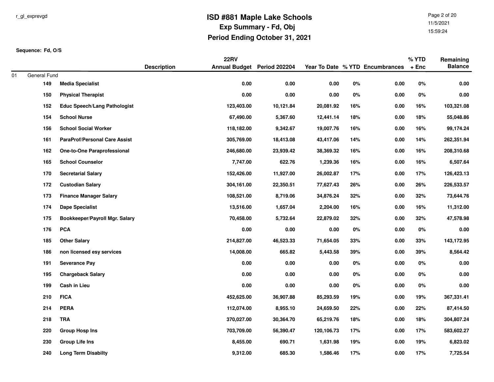Page 2 of 2011/5/202115:59:24

|    |              |                                      |                    | <b>22RV</b>                 |           |            |       |                                 | % YTD   | Remaining      |
|----|--------------|--------------------------------------|--------------------|-----------------------------|-----------|------------|-------|---------------------------------|---------|----------------|
|    |              |                                      | <b>Description</b> | Annual Budget Period 202204 |           |            |       | Year To Date % YTD Encumbrances | $+$ Enc | <b>Balance</b> |
| 01 | General Fund |                                      |                    |                             |           |            |       |                                 |         |                |
|    | 149          | <b>Media Specialist</b>              |                    | $0.00\,$                    | 0.00      | $0.00\,$   | $0\%$ | 0.00                            | $0\%$   | 0.00           |
|    | 150          | <b>Physical Therapist</b>            |                    | 0.00                        | 0.00      | 0.00       | $0\%$ | 0.00                            | 0%      | 0.00           |
|    | 152          | <b>Educ Speech/Lang Pathologist</b>  |                    | 123,403.00                  | 10,121.84 | 20,081.92  | 16%   | 0.00                            | 16%     | 103,321.08     |
|    | 154          | <b>School Nurse</b>                  |                    | 67,490.00                   | 5,367.60  | 12,441.14  | 18%   | 0.00                            | 18%     | 55,048.86      |
|    | 156          | <b>School Social Worker</b>          |                    | 118,182.00                  | 9,342.67  | 19,007.76  | 16%   | 0.00                            | 16%     | 99,174.24      |
|    | 161          | <b>ParaProf/Personal Care Assist</b> |                    | 305,769.00                  | 18,413.08 | 43,417.06  | 14%   | 0.00                            | 14%     | 262,351.94     |
|    | 162          | <b>One-to-One Paraprofessional</b>   |                    | 246,680.00                  | 23,939.42 | 38,369.32  | 16%   | 0.00                            | 16%     | 208,310.68     |
|    | 165          | <b>School Counselor</b>              |                    | 7,747.00                    | 622.76    | 1,239.36   | 16%   | 0.00                            | 16%     | 6,507.64       |
|    | 170          | <b>Secretarial Salary</b>            |                    | 152,426.00                  | 11,927.00 | 26,002.87  | 17%   | 0.00                            | 17%     | 126,423.13     |
|    | 172          | <b>Custodian Salary</b>              |                    | 304,161.00                  | 22,350.51 | 77,627.43  | 26%   | 0.00                            | 26%     | 226,533.57     |
|    | 173          | <b>Finance Manager Salary</b>        |                    | 108,521.00                  | 8,719.06  | 34,876.24  | 32%   | 0.00                            | 32%     | 73,644.76      |
|    | 174          | <b>Dape Specialist</b>               |                    | 13,516.00                   | 1,657.04  | 2,204.00   | 16%   | 0.00                            | 16%     | 11,312.00      |
|    | 175          | Bookkeeper/Payroll Mgr. Salary       |                    | 70,458.00                   | 5,732.64  | 22,879.02  | 32%   | 0.00                            | 32%     | 47,578.98      |
|    | 176          | <b>PCA</b>                           |                    | 0.00                        | 0.00      | 0.00       | $0\%$ | 0.00                            | $0\%$   | 0.00           |
|    | 185          | <b>Other Salary</b>                  |                    | 214,827.00                  | 46,523.33 | 71,654.05  | 33%   | 0.00                            | 33%     | 143,172.95     |
|    | 186          | non licensed esy services            |                    | 14,008.00                   | 665.82    | 5,443.58   | 39%   | 0.00                            | 39%     | 8,564.42       |
|    | 191          | <b>Severance Pay</b>                 |                    | 0.00                        | 0.00      | 0.00       | $0\%$ | 0.00                            | 0%      | 0.00           |
|    | 195          | <b>Chargeback Salary</b>             |                    | 0.00                        | 0.00      | 0.00       | $0\%$ | 0.00                            | 0%      | 0.00           |
|    | 199          | Cash in Lieu                         |                    | 0.00                        | 0.00      | 0.00       | $0\%$ | 0.00                            | $0\%$   | 0.00           |
|    | 210          | <b>FICA</b>                          |                    | 452,625.00                  | 36,907.88 | 85,293.59  | 19%   | 0.00                            | 19%     | 367,331.41     |
|    | 214          | <b>PERA</b>                          |                    | 112,074.00                  | 8,955.10  | 24,659.50  | 22%   | 0.00                            | 22%     | 87,414.50      |
|    | 218          | TRA                                  |                    | 370,027.00                  | 30,364.70 | 65,219.76  | 18%   | 0.00                            | 18%     | 304,807.24     |
|    | 220          | <b>Group Hosp Ins</b>                |                    | 703,709.00                  | 56,390.47 | 120,106.73 | 17%   | 0.00                            | 17%     | 583,602.27     |
|    | 230          | <b>Group Life Ins</b>                |                    | 8,455.00                    | 690.71    | 1,631.98   | 19%   | 0.00                            | 19%     | 6,823.02       |
|    | 240          | <b>Long Term Disabilty</b>           |                    | 9,312.00                    | 685.30    | 1,586.46   | 17%   | 0.00                            | 17%     | 7,725.54       |
|    |              |                                      |                    |                             |           |            |       |                                 |         |                |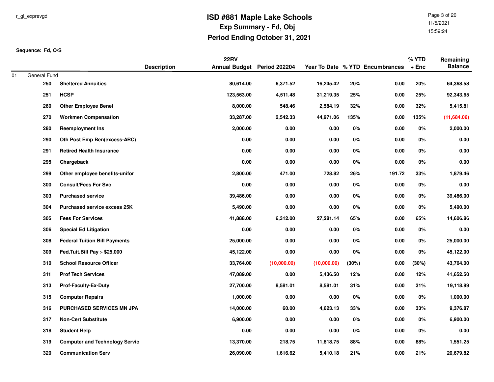Page 3 of 2011/5/202115:59:24

|    |              |                                       |                    | <b>22RV</b>                 |             |             |       |                                 | % YTD   | Remaining      |
|----|--------------|---------------------------------------|--------------------|-----------------------------|-------------|-------------|-------|---------------------------------|---------|----------------|
| 01 | General Fund |                                       | <b>Description</b> | Annual Budget Period 202204 |             |             |       | Year To Date % YTD Encumbrances | $+$ Enc | <b>Balance</b> |
|    | 250          | <b>Sheltered Annuities</b>            |                    | 80,614.00                   | 6,371.52    | 16,245.42   | 20%   | 0.00                            | 20%     | 64,368.58      |
|    | 251          | <b>HCSP</b>                           |                    | 123,563.00                  | 4,511.48    | 31,219.35   | 25%   | 0.00                            | 25%     | 92,343.65      |
|    | 260          | <b>Other Employee Benef</b>           |                    | 8,000.00                    | 548.46      | 2,584.19    | 32%   | 0.00                            | 32%     | 5,415.81       |
|    | 270          | <b>Workmen Compensation</b>           |                    | 33,287.00                   | 2,542.33    | 44,971.06   | 135%  | $0.00\,$                        | 135%    | (11,684.06)    |
|    | 280          | <b>Reemployment Ins</b>               |                    | 2,000.00                    | $0.00\,$    | 0.00        | $0\%$ | 0.00                            | $0\%$   | 2,000.00       |
|    | 290          | Oth Post Emp Ben(excess-ARC)          |                    | 0.00                        | 0.00        | 0.00        | 0%    | 0.00                            | 0%      | 0.00           |
|    | 291          | <b>Retired Health Insurance</b>       |                    | 0.00                        | 0.00        | 0.00        | 0%    | 0.00                            | 0%      | 0.00           |
|    | 295          | Chargeback                            |                    | 0.00                        | $0.00\,$    | 0.00        | $0\%$ | 0.00                            | 0%      | 0.00           |
|    | 299          | Other employee benefits-unifor        |                    | 2,800.00                    | 471.00      | 728.82      | 26%   | 191.72                          | 33%     | 1,879.46       |
|    | 300          | <b>Consult/Fees For Svc</b>           |                    | 0.00                        | $0.00\,$    | 0.00        | 0%    | 0.00                            | 0%      | 0.00           |
|    | 303          | <b>Purchased service</b>              |                    | 39,486.00                   | 0.00        | 0.00        | 0%    | 0.00                            | 0%      | 39,486.00      |
|    | 304          | <b>Purchased service excess 25K</b>   |                    | 5,490.00                    | 0.00        | 0.00        | 0%    | 0.00                            | 0%      | 5,490.00       |
|    | 305          | <b>Fees For Services</b>              |                    | 41,888.00                   | 6,312.00    | 27,281.14   | 65%   | 0.00                            | 65%     | 14,606.86      |
|    | 306          | <b>Special Ed Litigation</b>          |                    | 0.00                        | $0.00\,$    | 0.00        | $0\%$ | 0.00                            | 0%      | 0.00           |
|    | 308          | <b>Federal Tuition Bill Payments</b>  |                    | 25,000.00                   | 0.00        | 0.00        | 0%    | 0.00                            | 0%      | 25,000.00      |
|    | 309          | Fed.Tuit.Bill Pay > \$25,000          |                    | 45,122.00                   | 0.00        | 0.00        | 0%    | 0.00                            | 0%      | 45,122.00      |
|    | 310          | <b>School Resource Officer</b>        |                    | 33,764.00                   | (10,000.00) | (10,000.00) | (30%) | 0.00                            | (30%)   | 43,764.00      |
|    | 311          | <b>Prof Tech Services</b>             |                    | 47,089.00                   | 0.00        | 5,436.50    | 12%   | 0.00                            | 12%     | 41,652.50      |
|    | 313          | <b>Prof-Faculty-Ex-Duty</b>           |                    | 27,700.00                   | 8,581.01    | 8,581.01    | 31%   | 0.00                            | 31%     | 19,118.99      |
|    | 315          | <b>Computer Repairs</b>               |                    | 1,000.00                    | $0.00\,$    | 0.00        | $0\%$ | 0.00                            | 0%      | 1,000.00       |
|    | 316          | PURCHASED SERVICES MN JPA             |                    | 14,000.00                   | 60.00       | 4,623.13    | 33%   | 0.00                            | 33%     | 9,376.87       |
|    | 317          | <b>Non-Cert Substitute</b>            |                    | 6,900.00                    | 0.00        | 0.00        | 0%    | 0.00                            | 0%      | 6,900.00       |
|    | 318          | <b>Student Help</b>                   |                    | 0.00                        | 0.00        | 0.00        | 0%    | 0.00                            | 0%      | 0.00           |
|    | 319          | <b>Computer and Technology Servic</b> |                    | 13,370.00                   | 218.75      | 11,818.75   | 88%   | 0.00                            | 88%     | 1,551.25       |
|    | 320          | <b>Communication Serv</b>             |                    | 26,090.00                   | 1,616.62    | 5,410.18    | 21%   | 0.00                            | 21%     | 20,679.82      |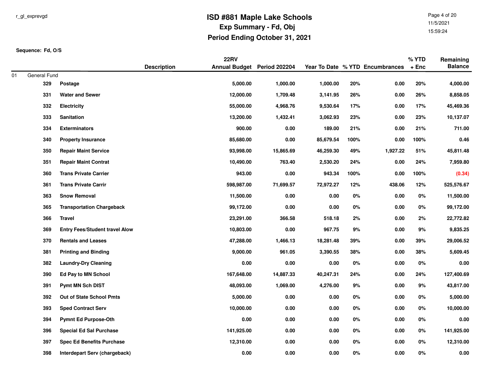Page 4 of 2011/5/202115:59:24

|    |                     |                                       |                    | <b>22RV</b>                 |           |           |       |                                 | % YTD   | Remaining      |
|----|---------------------|---------------------------------------|--------------------|-----------------------------|-----------|-----------|-------|---------------------------------|---------|----------------|
|    |                     |                                       | <b>Description</b> | Annual Budget Period 202204 |           |           |       | Year To Date % YTD Encumbrances | $+$ Enc | <b>Balance</b> |
| 01 | General Fund<br>329 | Postage                               |                    | 5,000.00                    | 1,000.00  | 1,000.00  | 20%   | $0.00\,$                        | 20%     | 4,000.00       |
|    | 331                 | <b>Water and Sewer</b>                |                    | 12,000.00                   | 1,709.48  | 3,141.95  | 26%   | 0.00                            | 26%     | 8,858.05       |
|    | 332                 | <b>Electricity</b>                    |                    | 55,000.00                   | 4,968.76  | 9,530.64  | 17%   | 0.00                            | 17%     | 45,469.36      |
|    | 333                 | Sanitation                            |                    | 13,200.00                   | 1,432.41  | 3,062.93  | 23%   | 0.00                            | 23%     | 10,137.07      |
|    | 334                 | <b>Exterminators</b>                  |                    | 900.00                      | 0.00      | 189.00    | 21%   | 0.00                            | 21%     | 711.00         |
|    | 340                 | <b>Property Insurance</b>             |                    | 85,680.00                   | 0.00      | 85,679.54 | 100%  | 0.00                            | 100%    | 0.46           |
|    | 350                 | <b>Repair Maint Service</b>           |                    | 93,998.00                   | 15,865.69 | 46,259.30 | 49%   | 1,927.22                        | 51%     | 45,811.48      |
|    | 351                 | <b>Repair Maint Contrat</b>           |                    | 10,490.00                   | 763.40    | 2,530.20  | 24%   | 0.00                            | 24%     | 7,959.80       |
|    | 360                 | <b>Trans Private Carrier</b>          |                    | 943.00                      | 0.00      | 943.34    | 100%  | 0.00                            | 100%    | (0.34)         |
|    | 361                 | <b>Trans Private Carrir</b>           |                    | 598,987.00                  | 71,699.57 | 72,972.27 | 12%   | 438.06                          | 12%     | 525,576.67     |
|    | 363                 | <b>Snow Removal</b>                   |                    | 11,500.00                   | 0.00      | $0.00\,$  | 0%    | 0.00                            | 0%      | 11,500.00      |
|    | 365                 | <b>Transportation Chargeback</b>      |                    | 99,172.00                   | 0.00      | 0.00      | 0%    | 0.00                            | $0\%$   | 99,172.00      |
|    | 366                 | <b>Travel</b>                         |                    | 23,291.00                   | 366.58    | 518.18    | 2%    | 0.00                            | 2%      | 22,772.82      |
|    | 369                 | <b>Entry Fees/Student travel Alow</b> |                    | 10,803.00                   | 0.00      | 967.75    | 9%    | 0.00                            | $9\%$   | 9,835.25       |
|    | 370                 | <b>Rentals and Leases</b>             |                    | 47,288.00                   | 1,466.13  | 18,281.48 | 39%   | 0.00                            | 39%     | 29,006.52      |
|    | 381                 | <b>Printing and Binding</b>           |                    | 9,000.00                    | 961.05    | 3,390.55  | 38%   | 0.00                            | 38%     | 5,609.45       |
|    | 382                 | <b>Laundry-Dry Cleaning</b>           |                    | 0.00                        | 0.00      | 0.00      | 0%    | 0.00                            | $0\%$   | 0.00           |
|    | 390                 | <b>Ed Pay to MN School</b>            |                    | 167,648.00                  | 14,887.33 | 40,247.31 | 24%   | 0.00                            | 24%     | 127,400.69     |
|    | 391                 | <b>Pymt MN Sch DIST</b>               |                    | 48,093.00                   | 1,069.00  | 4,276.00  | 9%    | 0.00                            | 9%      | 43,817.00      |
|    | 392                 | Out of State School Pmts              |                    | 5,000.00                    | 0.00      | $0.00\,$  | 0%    | 0.00                            | 0%      | 5,000.00       |
|    | 393                 | <b>Sped Contract Serv</b>             |                    | 10,000.00                   | 0.00      | 0.00      | 0%    | 0.00                            | 0%      | 10,000.00      |
|    | 394                 | <b>Pymnt Ed Purpose-Oth</b>           |                    | 0.00                        | 0.00      | 0.00      | 0%    | 0.00                            | $0\%$   | 0.00           |
|    | 396                 | <b>Special Ed Sal Purchase</b>        |                    | 141,925.00                  | 0.00      | 0.00      | 0%    | 0.00                            | 0%      | 141,925.00     |
|    | 397                 | <b>Spec Ed Benefits Purchase</b>      |                    | 12,310.00                   | 0.00      | 0.00      | 0%    | 0.00                            | 0%      | 12,310.00      |
|    | 398                 | Interdepart Serv (chargeback)         |                    | 0.00                        | 0.00      | 0.00      | $0\%$ | 0.00                            | 0%      | 0.00           |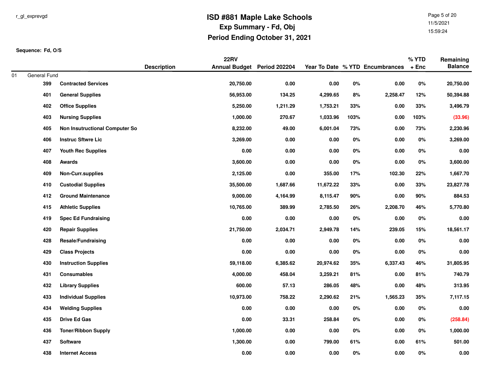Page 5 of 2011/5/202115:59:24

|    |                     |                                       |                    | <b>22RV</b>                 |          |           |       |                                 | % YTD  | Remaining      |
|----|---------------------|---------------------------------------|--------------------|-----------------------------|----------|-----------|-------|---------------------------------|--------|----------------|
|    |                     |                                       | <b>Description</b> | Annual Budget Period 202204 |          |           |       | Year To Date % YTD Encumbrances | $+Enc$ | <b>Balance</b> |
| 01 | General Fund<br>399 | <b>Contracted Services</b>            |                    | 20,750.00                   | $0.00\,$ | $0.00\,$  | $0\%$ | 0.00                            | $0\%$  | 20,750.00      |
|    | 401                 | <b>General Supplies</b>               |                    | 56,953.00                   | 134.25   | 4,299.65  | 8%    | 2,258.47                        | 12%    | 50,394.88      |
|    | 402                 | <b>Office Supplies</b>                |                    | 5,250.00                    | 1,211.29 | 1,753.21  | 33%   | 0.00                            | 33%    | 3,496.79       |
|    | 403                 | <b>Nursing Supplies</b>               |                    | 1,000.00                    | 270.67   | 1,033.96  | 103%  | 0.00                            | 103%   | (33.96)        |
|    | 405                 | <b>Non Insutructional Computer So</b> |                    | 8,232.00                    | 49.00    | 6,001.04  | 73%   | 0.00                            | 73%    | 2,230.96       |
|    | 406                 | <b>Instruc Sftwre Lic</b>             |                    | 3,269.00                    | 0.00     | $0.00\,$  | 0%    | 0.00                            | 0%     | 3,269.00       |
|    | 407                 | <b>Youth Rec Supplies</b>             |                    | 0.00                        | 0.00     | 0.00      | 0%    | 0.00                            | 0%     | 0.00           |
|    | 408                 | Awards                                |                    | 3,600.00                    | 0.00     | $0.00\,$  | $0\%$ | 0.00                            | $0\%$  | 3,600.00       |
|    | 409                 | <b>Non-Curr.supplies</b>              |                    | 2,125.00                    | $0.00\,$ | 355.00    | 17%   | 102.30                          | 22%    | 1,667.70       |
|    | 410                 | <b>Custodial Supplies</b>             |                    | 35,500.00                   | 1,687.66 | 11,672.22 | 33%   | 0.00                            | 33%    | 23,827.78      |
|    | 412                 | <b>Ground Maintenance</b>             |                    | 9,000.00                    | 4,164.99 | 8,115.47  | 90%   | 0.00                            | 90%    | 884.53         |
|    | 415                 | <b>Athletic Supplies</b>              |                    | 10,765.00                   | 389.99   | 2,785.50  | 26%   | 2,208.70                        | 46%    | 5,770.80       |
|    | 419                 | <b>Spec Ed Fundraising</b>            |                    | 0.00                        | 0.00     | $0.00\,$  | $0\%$ | 0.00                            | $0\%$  | $0.00\,$       |
|    | 420                 | <b>Repair Supplies</b>                |                    | 21,750.00                   | 2,034.71 | 2,949.78  | 14%   | 239.05                          | 15%    | 18,561.17      |
|    | 428                 | Resale/Fundraising                    |                    | 0.00                        | 0.00     | 0.00      | 0%    | 0.00                            | 0%     | $0.00\,$       |
|    | 429                 | <b>Class Projects</b>                 |                    | 0.00                        | 0.00     | 0.00      | $0\%$ | 0.00                            | 0%     | 0.00           |
|    | 430                 | <b>Instruction Supplies</b>           |                    | 59,118.00                   | 6,385.62 | 20,974.62 | 35%   | 6,337.43                        | 46%    | 31,805.95      |
|    | 431                 | <b>Consumables</b>                    |                    | 4,000.00                    | 458.04   | 3,259.21  | 81%   | 0.00                            | 81%    | 740.79         |
|    | 432                 | <b>Library Supplies</b>               |                    | 600.00                      | 57.13    | 286.05    | 48%   | 0.00                            | 48%    | 313.95         |
|    | 433                 | <b>Individual Supplies</b>            |                    | 10,973.00                   | 758.22   | 2,290.62  | 21%   | 1,565.23                        | 35%    | 7,117.15       |
|    | 434                 | <b>Welding Supplies</b>               |                    | 0.00                        | 0.00     | 0.00      | $0\%$ | 0.00                            | 0%     | 0.00           |
|    | 435                 | <b>Drive Ed Gas</b>                   |                    | 0.00                        | 33.31    | 258.84    | 0%    | 0.00                            | 0%     | (258.84)       |
|    | 436                 | <b>Toner/Ribbon Supply</b>            |                    | 1,000.00                    | 0.00     | $0.00\,$  | 0%    | 0.00                            | 0%     | 1,000.00       |
|    | 437                 | Software                              |                    | 1,300.00                    | 0.00     | 799.00    | 61%   | 0.00                            | 61%    | 501.00         |
|    | 438                 | <b>Internet Access</b>                |                    | 0.00                        | 0.00     | 0.00      | $0\%$ | 0.00                            | 0%     | $0.00\,$       |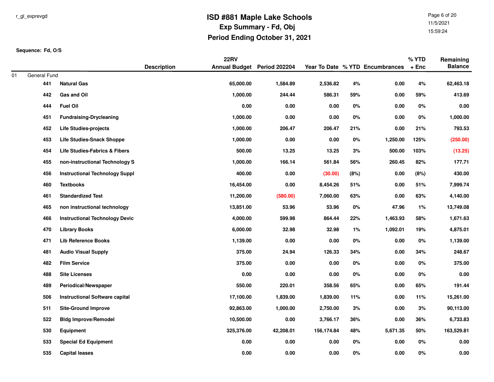Page 6 of 2011/5/202115:59:24

|    |              |                                       |                    | <b>22RV</b>                 |           |            |       |                                 | $%$ YTD | Remaining      |
|----|--------------|---------------------------------------|--------------------|-----------------------------|-----------|------------|-------|---------------------------------|---------|----------------|
|    |              |                                       | <b>Description</b> | Annual Budget Period 202204 |           |            |       | Year To Date % YTD Encumbrances | $+$ Enc | <b>Balance</b> |
| 01 | General Fund |                                       |                    |                             |           |            |       |                                 |         |                |
|    | 441          | <b>Natural Gas</b>                    |                    | 65,000.00                   | 1,584.89  | 2,536.82   | 4%    | 0.00                            | $4\%$   | 62,463.18      |
|    | 442          | <b>Gas and Oil</b>                    |                    | 1,000.00                    | 244.44    | 586.31     | 59%   | 0.00                            | 59%     | 413.69         |
|    | 444          | <b>Fuel Oil</b>                       |                    | 0.00                        | 0.00      | 0.00       | 0%    | 0.00                            | 0%      | 0.00           |
|    | 451          | <b>Fundraising-Drycleaning</b>        |                    | 1,000.00                    | 0.00      | 0.00       | 0%    | 0.00                            | 0%      | 1,000.00       |
|    | 452          | <b>Life Studies-projects</b>          |                    | 1,000.00                    | 206.47    | 206.47     | 21%   | 0.00                            | 21%     | 793.53         |
|    | 453          | <b>Life Studies-Snack Shoppe</b>      |                    | 1,000.00                    | 0.00      | $0.00\,$   | 0%    | 1,250.00                        | 125%    | (250.00)       |
|    | 454          | Life Studies-Fabrics & Fibers         |                    | 500.00                      | 13.25     | 13.25      | 3%    | 500.00                          | 103%    | (13.25)        |
|    | 455          | non-instructional Technology S        |                    | 1,000.00                    | 166.14    | 561.84     | 56%   | 260.45                          | 82%     | 177.71         |
|    | 456          | <b>Instructional Technology Suppl</b> |                    | 400.00                      | 0.00      | (30.00)    | (8%)  | $0.00\,$                        | (8%)    | 430.00         |
|    | 460          | <b>Textbooks</b>                      |                    | 16,454.00                   | 0.00      | 8,454.26   | 51%   | 0.00                            | 51%     | 7,999.74       |
|    | 461          | <b>Standardized Test</b>              |                    | 11,200.00                   | (580.00)  | 7,060.00   | 63%   | 0.00                            | 63%     | 4,140.00       |
|    | 465          | non instructional technology          |                    | 13,851.00                   | 53.96     | 53.96      | $0\%$ | 47.96                           | 1%      | 13,749.08      |
|    | 466          | <b>Instructional Technology Devic</b> |                    | 4,000.00                    | 599.98    | 864.44     | 22%   | 1,463.93                        | 58%     | 1,671.63       |
|    | 470          | <b>Library Books</b>                  |                    | 6,000.00                    | 32.98     | 32.98      | $1\%$ | 1,092.01                        | 19%     | 4,875.01       |
|    | 471          | <b>Lib Reference Books</b>            |                    | 1,139.00                    | 0.00      | 0.00       | 0%    | 0.00                            | 0%      | 1,139.00       |
|    | 481          | <b>Audio Visual Supply</b>            |                    | 375.00                      | 24.94     | 126.33     | 34%   | 0.00                            | 34%     | 248.67         |
|    | 482          | <b>Film Service</b>                   |                    | 375.00                      | 0.00      | 0.00       | 0%    | 0.00                            | 0%      | 375.00         |
|    | 488          | <b>Site Licenses</b>                  |                    | $0.00\,$                    | 0.00      | 0.00       | 0%    | 0.00                            | 0%      | $0.00\,$       |
|    | 489          | Periodical/Newspaper                  |                    | 550.00                      | 220.01    | 358.56     | 65%   | 0.00                            | 65%     | 191.44         |
|    | 506          | <b>Instructional Software capital</b> |                    | 17,100.00                   | 1,839.00  | 1,839.00   | 11%   | 0.00                            | 11%     | 15,261.00      |
|    | 511          | <b>Site-Ground Improve</b>            |                    | 92,863.00                   | 1,000.00  | 2,750.00   | 3%    | 0.00                            | 3%      | 90,113.00      |
|    | 522          | <b>Bldg Improve/Remodel</b>           |                    | 10,500.00                   | 0.00      | 3,766.17   | 36%   | 0.00                            | 36%     | 6,733.83       |
|    | 530          | Equipment                             |                    | 325,376.00                  | 42,208.01 | 156,174.84 | 48%   | 5,671.35                        | 50%     | 163,529.81     |
|    | 533          | <b>Special Ed Equipment</b>           |                    | 0.00                        | 0.00      | 0.00       | $0\%$ | 0.00                            | 0%      | $0.00\,$       |
|    | 535          | <b>Capital leases</b>                 |                    | 0.00                        | 0.00      | 0.00       | $0\%$ | 0.00                            | 0%      | $0.00\,$       |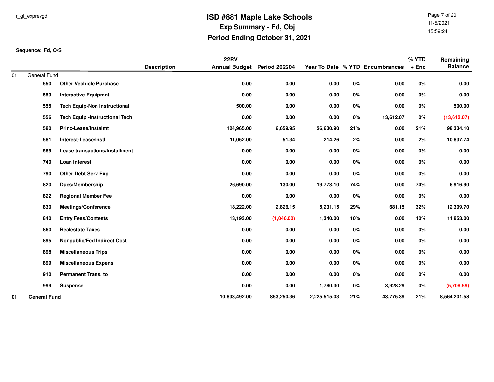Page 7 of 2011/5/202115:59:24

|    |                     |                                       |                    | <b>22RV</b>                 |            |              |       |                                 | % YTD   | Remaining      |
|----|---------------------|---------------------------------------|--------------------|-----------------------------|------------|--------------|-------|---------------------------------|---------|----------------|
|    |                     |                                       | <b>Description</b> | Annual Budget Period 202204 |            |              |       | Year To Date % YTD Encumbrances | $+$ Enc | <b>Balance</b> |
| 01 | General Fund        |                                       |                    |                             |            |              |       |                                 |         |                |
|    | 550                 | <b>Other Vechicle Purchase</b>        |                    | 0.00                        | 0.00       | 0.00         | 0%    | 0.00                            | 0%      | 0.00           |
|    | 553                 | <b>Interactive Equipmnt</b>           |                    | 0.00                        | 0.00       | 0.00         | 0%    | 0.00                            | 0%      | 0.00           |
|    | 555                 | <b>Tech Equip-Non Instructional</b>   |                    | 500.00                      | 0.00       | 0.00         | 0%    | 0.00                            | $0\%$   | 500.00         |
|    | 556                 | <b>Tech Equip -Instructional Tech</b> |                    | $0.00\,$                    | 0.00       | $0.00\,$     | $0\%$ | 13,612.07                       | $0\%$   | (13,612.07)    |
|    | 580                 | <b>Princ-Lease/Instalmt</b>           |                    | 124,965.00                  | 6,659.95   | 26,630.90    | 21%   | 0.00                            | 21%     | 98,334.10      |
|    | 581                 | Interest-Lease/Instl                  |                    | 11,052.00                   | 51.34      | 214.26       | 2%    | 0.00                            | 2%      | 10,837.74      |
|    | 589                 | Lease transactions/Installment        |                    | 0.00                        | 0.00       | 0.00         | $0\%$ | 0.00                            | 0%      | 0.00           |
|    | 740                 | <b>Loan Interest</b>                  |                    | 0.00                        | 0.00       | 0.00         | 0%    | 0.00                            | 0%      | 0.00           |
|    | 790                 | <b>Other Debt Serv Exp</b>            |                    | 0.00                        | 0.00       | 0.00         | $0\%$ | 0.00                            | $0\%$   | 0.00           |
|    | 820                 | <b>Dues/Membership</b>                |                    | 26,690.00                   | 130.00     | 19,773.10    | 74%   | 0.00                            | 74%     | 6,916.90       |
|    | 822                 | <b>Regional Member Fee</b>            |                    | 0.00                        | 0.00       | 0.00         | $0\%$ | 0.00                            | $0\%$   | 0.00           |
|    | 830                 | <b>Meetings/Conference</b>            |                    | 18,222.00                   | 2,826.15   | 5,231.15     | 29%   | 681.15                          | 32%     | 12,309.70      |
|    | 840                 | <b>Entry Fees/Contests</b>            |                    | 13,193.00                   | (1,046.00) | 1,340.00     | 10%   | 0.00                            | 10%     | 11,853.00      |
|    | 860                 | <b>Realestate Taxes</b>               |                    | $0.00\,$                    | 0.00       | $0.00\,$     | $0\%$ | 0.00                            | 0%      | 0.00           |
|    | 895                 | Nonpublic/Fed Indirect Cost           |                    | 0.00                        | 0.00       | 0.00         | $0\%$ | 0.00                            | 0%      | 0.00           |
|    | 898                 | <b>Miscellaneous Trips</b>            |                    | 0.00                        | 0.00       | 0.00         | $0\%$ | 0.00                            | $0\%$   | 0.00           |
|    | 899                 | <b>Miscellaneous Expens</b>           |                    | 0.00                        | 0.00       | 0.00         | 0%    | 0.00                            | 0%      | 0.00           |
|    | 910                 | <b>Permanent Trans. to</b>            |                    | 0.00                        | 0.00       | 0.00         | 0%    | 0.00                            | 0%      | 0.00           |
|    | 999                 | <b>Suspense</b>                       |                    | $0.00\,$                    | 0.00       | 1,780.30     | $0\%$ | 3,928.29                        | $0\%$   | (5,708.59)     |
| 01 | <b>General Fund</b> |                                       |                    | 10,833,492.00               | 853,250.36 | 2,225,515.03 | 21%   | 43,775.39                       | 21%     | 8,564,201.58   |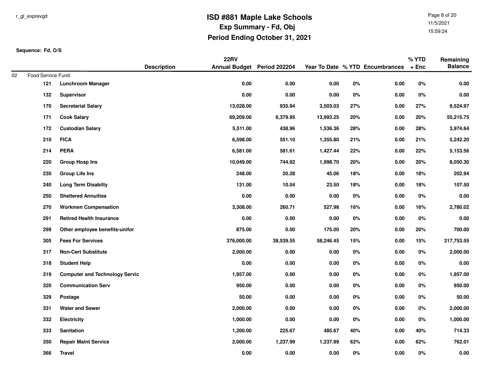Page 8 of 2011/5/202115:59:24

|    |                   |                                       |                    | <b>22RV</b>                 |           |           |       |                                 | % YTD   | Remaining      |
|----|-------------------|---------------------------------------|--------------------|-----------------------------|-----------|-----------|-------|---------------------------------|---------|----------------|
|    |                   |                                       | <b>Description</b> | Annual Budget Period 202204 |           |           |       | Year To Date % YTD Encumbrances | $+$ Enc | <b>Balance</b> |
| 02 | Food Service Fund |                                       |                    |                             |           |           |       |                                 |         |                |
|    | 121               | <b>Lunchroom Manager</b>              |                    | 0.00                        | $0.00\,$  | 0.00      | $0\%$ | 0.00                            | $0\%$   | 0.00           |
|    | 132               | Supervisor                            |                    | 0.00                        | $0.00\,$  | 0.00      | 0%    | 0.00                            | 0%      | $0.00\,$       |
|    | 170               | <b>Secretarial Salary</b>             |                    | 13,028.00                   | 935.94    | 3,503.03  | 27%   | 0.00                            | 27%     | 9,524.97       |
|    | 171               | <b>Cook Salary</b>                    |                    | 69,209.00                   | 6,379.95  | 13,993.25 | 20%   | 0.00                            | 20%     | 55,215.75      |
|    | 172               | <b>Custodian Salary</b>               |                    | 5,511.00                    | 438.96    | 1,536.36  | 28%   | 0.00                            | 28%     | 3,974.64       |
|    | 210               | <b>FICA</b>                           |                    | 6,598.00                    | 551.10    | 1,355.80  | 21%   | 0.00                            | 21%     | 5,242.20       |
|    | 214               | <b>PERA</b>                           |                    | 6,581.00                    | 581.61    | 1,427.44  | 22%   | 0.00                            | 22%     | 5,153.56       |
|    | 220               | <b>Group Hosp Ins</b>                 |                    | 10,049.00                   | 744.92    | 1,998.70  | 20%   | 0.00                            | 20%     | 8,050.30       |
|    | 230               | Group Life Ins                        |                    | 248.00                      | 20.28     | 45.06     | 18%   | 0.00                            | 18%     | 202.94         |
|    | 240               | <b>Long Term Disabilty</b>            |                    | 131.00                      | 10.04     | 23.50     | 18%   | 0.00                            | 18%     | 107.50         |
|    | 250               | <b>Sheltered Annuities</b>            |                    | $0.00\,$                    | $0.00\,$  | $0.00\,$  | $0\%$ | 0.00                            | $0\%$   | $0.00\,$       |
|    | 270               | <b>Workmen Compensation</b>           |                    | 3,308.00                    | 260.71    | 527.98    | 16%   | 0.00                            | 16%     | 2,780.02       |
|    | 291               | <b>Retired Health Insurance</b>       |                    | 0.00                        | $0.00\,$  | $0.00\,$  | $0\%$ | 0.00                            | 0%      | 0.00           |
|    | 299               | Other employee benefits-unifor        |                    | 875.00                      | $0.00\,$  | 175.00    | 20%   | 0.00                            | 20%     | 700.00         |
|    | 305               | <b>Fees For Services</b>              |                    | 376,000.00                  | 38,539.55 | 58,246.45 | 15%   | 0.00                            | 15%     | 317,753.55     |
|    | 317               | <b>Non-Cert Substitute</b>            |                    | 2,000.00                    | 0.00      | 0.00      | $0\%$ | 0.00                            | 0%      | 2,000.00       |
|    | 318               | <b>Student Help</b>                   |                    | 0.00                        | 0.00      | 0.00      | 0%    | 0.00                            | 0%      | 0.00           |
|    | 319               | <b>Computer and Technology Servic</b> |                    | 1,957.00                    | $0.00\,$  | 0.00      | 0%    | 0.00                            | 0%      | 1,957.00       |
|    | 320               | <b>Communication Serv</b>             |                    | 950.00                      | 0.00      | 0.00      | 0%    | 0.00                            | 0%      | 950.00         |
|    | 329               | Postage                               |                    | 50.00                       | 0.00      | 0.00      | 0%    | 0.00                            | 0%      | 50.00          |
|    | 331               | <b>Water and Sewer</b>                |                    | 2,000.00                    | 0.00      | 0.00      | 0%    | 0.00                            | $0\%$   | 2,000.00       |
|    | 332               | <b>Electricity</b>                    |                    | 1,000.00                    | $0.00\,$  | 0.00      | $0\%$ | 0.00                            | $0\%$   | 1,000.00       |
|    | 333               | Sanitation                            |                    | 1,200.00                    | 225.67    | 485.67    | 40%   | 0.00                            | 40%     | 714.33         |
|    | 350               | <b>Repair Maint Service</b>           |                    | 2,000.00                    | 1,237.99  | 1,237.99  | 62%   | 0.00                            | 62%     | 762.01         |
|    | 366               | <b>Travel</b>                         |                    | 0.00                        | 0.00      | 0.00      | 0%    | 0.00                            | 0%      | 0.00           |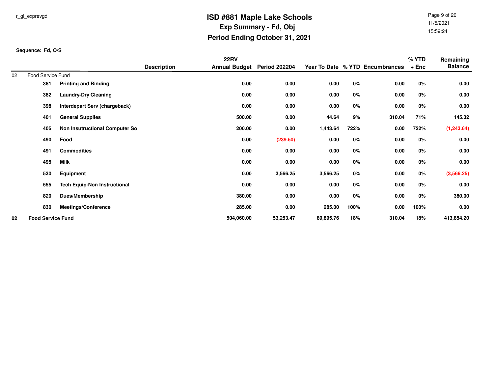Page 9 of 2011/5/202115:59:24

|    |                          |                                       |                    | <b>22RV</b>          |                      |           |      |                                 | % YTD  | Remaining      |
|----|--------------------------|---------------------------------------|--------------------|----------------------|----------------------|-----------|------|---------------------------------|--------|----------------|
|    |                          |                                       | <b>Description</b> | <b>Annual Budget</b> | <b>Period 202204</b> |           |      | Year To Date % YTD Encumbrances | $+Enc$ | <b>Balance</b> |
| 02 | Food Service Fund        |                                       |                    |                      |                      |           |      |                                 |        |                |
|    | 381                      | <b>Printing and Binding</b>           |                    | 0.00                 | 0.00                 | 0.00      | 0%   | 0.00                            | 0%     | 0.00           |
|    | 382                      | <b>Laundry-Dry Cleaning</b>           |                    | 0.00                 | 0.00                 | 0.00      | 0%   | 0.00                            | 0%     | 0.00           |
|    | 398                      | Interdepart Serv (chargeback)         |                    | 0.00                 | 0.00                 | 0.00      | 0%   | 0.00                            | 0%     | 0.00           |
|    | 401                      | <b>General Supplies</b>               |                    | 500.00               | 0.00                 | 44.64     | 9%   | 310.04                          | 71%    | 145.32         |
|    | 405                      | <b>Non Insutructional Computer So</b> |                    | 200.00               | 0.00                 | 1,443.64  | 722% | 0.00                            | 722%   | (1, 243.64)    |
|    | 490                      | Food                                  |                    | 0.00                 | (239.50)             | 0.00      | 0%   | 0.00                            | 0%     | 0.00           |
|    | 491                      | <b>Commodities</b>                    |                    | 0.00                 | 0.00                 | 0.00      | 0%   | 0.00                            | 0%     | 0.00           |
|    | 495                      | <b>Milk</b>                           |                    | 0.00                 | 0.00                 | 0.00      | 0%   | 0.00                            | 0%     | 0.00           |
|    | 530                      | Equipment                             |                    | 0.00                 | 3,566.25             | 3,566.25  | 0%   | 0.00                            | 0%     | (3,566.25)     |
|    | 555                      | <b>Tech Equip-Non Instructional</b>   |                    | 0.00                 | 0.00                 | 0.00      | 0%   | 0.00                            | 0%     | 0.00           |
|    | 820                      | Dues/Membership                       |                    | 380.00               | 0.00                 | 0.00      | 0%   | 0.00                            | 0%     | 380.00         |
|    | 830                      | <b>Meetings/Conference</b>            |                    | 285.00               | 0.00                 | 285.00    | 100% | 0.00                            | 100%   | 0.00           |
| 02 | <b>Food Service Fund</b> |                                       |                    | 504,060.00           | 53,253.47            | 89,895.76 | 18%  | 310.04                          | 18%    | 413,854.20     |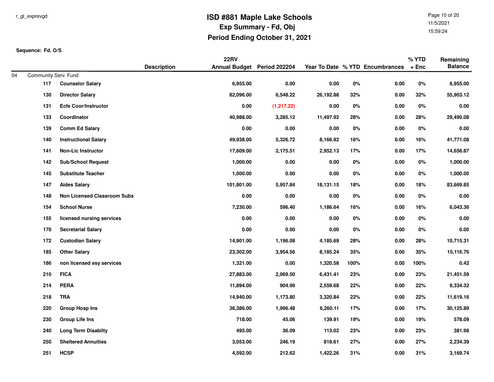Page 10 of 2011/5/202115:59:24

|    |                      |                                    |                    | <b>22RV</b>                 |             |           |       |                                 | % YTD   | Remaining      |
|----|----------------------|------------------------------------|--------------------|-----------------------------|-------------|-----------|-------|---------------------------------|---------|----------------|
|    |                      |                                    | <b>Description</b> | Annual Budget Period 202204 |             |           |       | Year To Date % YTD Encumbrances | $+$ Enc | <b>Balance</b> |
| 04 | Community Serv. Fund |                                    |                    | 6,955.00                    | 0.00        | 0.00      |       | $0.00\,$                        | $0\%$   |                |
|    | 117                  | <b>Counselor Salary</b>            |                    |                             |             |           | $0\%$ |                                 |         | 6,955.00       |
|    | 130                  | <b>Director Salary</b>             |                    | 82,096.00                   | 6,548.22    | 26,192.88 | 32%   | 0.00                            | 32%     | 55,903.12      |
|    | 131                  | <b>Ecfe Coor/Instructor</b>        |                    | 0.00                        | (1, 217.22) | 0.00      | 0%    | 0.00                            | 0%      | $0.00\,$       |
|    | 133                  | Coordinator                        |                    | 40,988.00                   | 3,285.12    | 11,497.92 | 28%   | 0.00                            | 28%     | 29,490.08      |
|    | 139                  | <b>Comm Ed Salary</b>              |                    | 0.00                        | 0.00        | 0.00      | $0\%$ | 0.00                            | 0%      | 0.00           |
|    | 140                  | <b>Instructional Salary</b>        |                    | 49,938.00                   | 5,326.72    | 8,166.92  | 16%   | 0.00                            | 16%     | 41,771.08      |
|    | 141                  | <b>Non-Lic Instructor</b>          |                    | 17,609.00                   | 2,175.51    | 2,952.13  | 17%   | 0.00                            | 17%     | 14,656.87      |
|    | 142                  | <b>Sub/School Request</b>          |                    | 1,000.00                    | 0.00        | 0.00      | 0%    | 0.00                            | 0%      | 1,000.00       |
|    | 145                  | <b>Substitute Teacher</b>          |                    | 1,000.00                    | 0.00        | 0.00      | 0%    | 0.00                            | $0\%$   | 1,000.00       |
|    | 147                  | <b>Aides Salary</b>                |                    | 101,801.00                  | 5,957.84    | 18,131.15 | 18%   | 0.00                            | 18%     | 83,669.85      |
|    | 148                  | <b>Non Licensed Classroom Subs</b> |                    | 0.00                        | $0.00\,$    | 0.00      | 0%    | 0.00                            | $0\%$   | $0.00\,$       |
|    | 154                  | <b>School Nurse</b>                |                    | 7,230.00                    | 596.40      | 1,186.64  | 16%   | 0.00                            | 16%     | 6,043.36       |
|    | 155                  | licensed nursing services          |                    | 0.00                        | 0.00        | 0.00      | 0%    | $0.00\,$                        | $0\%$   | $0.00\,$       |
|    | 170                  | <b>Secretarial Salary</b>          |                    | 0.00                        | 0.00        | 0.00      | $0\%$ | 0.00                            | $0\%$   | $0.00\,$       |
|    | 172                  | <b>Custodian Salary</b>            |                    | 14,901.00                   | 1,196.08    | 4,185.69  | 28%   | 0.00                            | 28%     | 10,715.31      |
|    | 185                  | <b>Other Salary</b>                |                    | 23,302.00                   | 3,954.56    | 8,185.24  | 35%   | $0.00\,$                        | 35%     | 15,116.76      |
|    | 186                  | non licensed esy services          |                    | 1,321.00                    | 0.00        | 1,320.58  | 100%  | 0.00                            | 100%    | 0.42           |
|    | 210                  | <b>FICA</b>                        |                    | 27,883.00                   | 2,069.50    | 6,431.41  | 23%   | 0.00                            | 23%     | 21,451.59      |
|    | 214                  | <b>PERA</b>                        |                    | 11,894.00                   | 904.99      | 2,559.68  | 22%   | 0.00                            | 22%     | 9,334.32       |
|    | 218                  | <b>TRA</b>                         |                    | 14,940.00                   | 1,173.80    | 3,320.84  | 22%   | 0.00                            | 22%     | 11,619.16      |
|    | 220                  | <b>Group Hosp Ins</b>              |                    | 36,386.00                   | 1,996.48    | 6,260.11  | 17%   | 0.00                            | 17%     | 30,125.89      |
|    | 230                  | <b>Group Life Ins</b>              |                    | 718.00                      | 45.06       | 139.91    | 19%   | 0.00                            | 19%     | 578.09         |
|    | 240                  | <b>Long Term Disabilty</b>         |                    | 495.00                      | 36.09       | 113.02    | 23%   | 0.00                            | 23%     | 381.98         |
|    | 250                  | <b>Sheltered Annuities</b>         |                    | 3,053.00                    | 246.19      | 818.61    | 27%   | 0.00                            | 27%     | 2,234.39       |
|    | 251                  | <b>HCSP</b>                        |                    | 4,592.00                    | 212.62      | 1,422.26  | 31%   | 0.00                            | 31%     | 3,169.74       |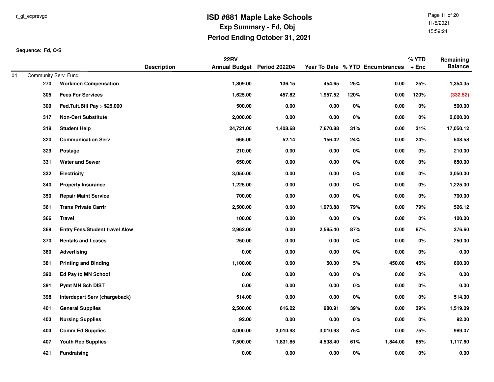Page 11 of 2011/5/202115:59:24

|     |                                       |                                                                                                                                               | <b>22RV</b> |                                                         |                                                                             |                                                |                                | % YTD                                                           | Remaining                                 |
|-----|---------------------------------------|-----------------------------------------------------------------------------------------------------------------------------------------------|-------------|---------------------------------------------------------|-----------------------------------------------------------------------------|------------------------------------------------|--------------------------------|-----------------------------------------------------------------|-------------------------------------------|
|     |                                       | <b>Description</b>                                                                                                                            |             |                                                         |                                                                             |                                                |                                |                                                                 | <b>Balance</b>                            |
|     |                                       |                                                                                                                                               |             |                                                         |                                                                             |                                                |                                |                                                                 | 1,354.35                                  |
|     |                                       |                                                                                                                                               |             |                                                         |                                                                             |                                                |                                |                                                                 |                                           |
|     |                                       |                                                                                                                                               |             |                                                         |                                                                             |                                                |                                |                                                                 | (332.52)                                  |
|     |                                       |                                                                                                                                               |             |                                                         |                                                                             |                                                |                                |                                                                 | 500.00                                    |
|     |                                       |                                                                                                                                               |             |                                                         |                                                                             |                                                |                                |                                                                 | 2,000.00                                  |
| 318 | <b>Student Help</b>                   |                                                                                                                                               |             |                                                         |                                                                             |                                                | 0.00                           |                                                                 | 17,050.12                                 |
| 320 | <b>Communication Serv</b>             |                                                                                                                                               | 665.00      | 52.14                                                   | 156.42                                                                      | 24%                                            | 0.00                           | 24%                                                             | 508.58                                    |
| 329 | Postage                               |                                                                                                                                               | 210.00      | 0.00                                                    | 0.00                                                                        | 0%                                             | 0.00                           | 0%                                                              | 210.00                                    |
| 331 | <b>Water and Sewer</b>                |                                                                                                                                               | 650.00      | 0.00                                                    | 0.00                                                                        | 0%                                             | 0.00                           | $0\%$                                                           | 650.00                                    |
| 332 | <b>Electricity</b>                    |                                                                                                                                               | 3,050.00    | 0.00                                                    | $0.00\,$                                                                    | $0\%$                                          | 0.00                           | $0\%$                                                           | 3,050.00                                  |
| 340 | <b>Property Insurance</b>             |                                                                                                                                               | 1,225.00    | 0.00                                                    | $0.00\,$                                                                    | $0\%$                                          | 0.00                           | $0\%$                                                           | 1,225.00                                  |
| 350 | <b>Repair Maint Service</b>           |                                                                                                                                               | 700.00      | 0.00                                                    | 0.00                                                                        | 0%                                             | 0.00                           | $0\%$                                                           | 700.00                                    |
| 361 | <b>Trans Private Carrir</b>           |                                                                                                                                               | 2,500.00    | 0.00                                                    | 1,973.88                                                                    | 79%                                            | 0.00                           | 79%                                                             | 526.12                                    |
| 366 | <b>Travel</b>                         |                                                                                                                                               | 100.00      | 0.00                                                    | $0.00\,$                                                                    | $0\%$                                          | 0.00                           | $0\%$                                                           | 100.00                                    |
| 369 | <b>Entry Fees/Student travel Alow</b> |                                                                                                                                               | 2,962.00    | 0.00                                                    | 2,585.40                                                                    | 87%                                            | 0.00                           | 87%                                                             | 376.60                                    |
| 370 | <b>Rentals and Leases</b>             |                                                                                                                                               | 250.00      | 0.00                                                    | 0.00                                                                        | 0%                                             | 0.00                           | 0%                                                              | 250.00                                    |
| 380 | Advertising                           |                                                                                                                                               | 0.00        | 0.00                                                    | 0.00                                                                        | 0%                                             | 0.00                           | 0%                                                              | 0.00                                      |
| 381 | <b>Printing and Binding</b>           |                                                                                                                                               | 1,100.00    | 0.00                                                    | 50.00                                                                       | 5%                                             | 450.00                         | 45%                                                             | 600.00                                    |
| 390 | Ed Pay to MN School                   |                                                                                                                                               | 0.00        | 0.00                                                    | 0.00                                                                        | 0%                                             | 0.00                           | $0\%$                                                           | $0.00\,$                                  |
| 391 | <b>Pymt MN Sch DIST</b>               |                                                                                                                                               | 0.00        | 0.00                                                    | 0.00                                                                        | 0%                                             | 0.00                           | 0%                                                              | $0.00\,$                                  |
| 398 | Interdepart Serv (chargeback)         |                                                                                                                                               | 514.00      | 0.00                                                    | 0.00                                                                        | 0%                                             | 0.00                           | 0%                                                              | 514.00                                    |
| 401 | <b>General Supplies</b>               |                                                                                                                                               | 2,500.00    | 616.22                                                  | 980.91                                                                      | 39%                                            | 0.00                           | 39%                                                             | 1,519.09                                  |
| 403 | <b>Nursing Supplies</b>               |                                                                                                                                               | 92.00       | 0.00                                                    | $0.00\,$                                                                    | $0\%$                                          | 0.00                           | $0\%$                                                           | 92.00                                     |
| 404 | <b>Comm Ed Supplies</b>               |                                                                                                                                               | 4,000.00    | 3,010.93                                                | 3,010.93                                                                    | 75%                                            | 0.00                           | 75%                                                             | 989.07                                    |
| 407 | <b>Youth Rec Supplies</b>             |                                                                                                                                               | 7,500.00    | 1,831.85                                                | 4,538.40                                                                    | 61%                                            | 1,844.00                       | 85%                                                             | 1,117.60                                  |
| 421 | <b>Fundraising</b>                    |                                                                                                                                               | 0.00        | 0.00                                                    | 0.00                                                                        | $0\%$                                          | 0.00                           | 0%                                                              | $0.00\,$                                  |
|     | 270<br>305<br>309<br>317              | Community Serv. Fund<br><b>Workmen Compensation</b><br><b>Fees For Services</b><br>Fed.Tuit.Bill Pay > \$25,000<br><b>Non-Cert Substitute</b> |             | 1,809.00<br>1,625.00<br>500.00<br>2,000.00<br>24,721.00 | Annual Budget Period 202204<br>136.15<br>457.82<br>0.00<br>0.00<br>1,408.68 | 454.65<br>1,957.52<br>0.00<br>0.00<br>7,670.88 | 25%<br>120%<br>0%<br>0%<br>31% | Year To Date % YTD Encumbrances<br>0.00<br>0.00<br>0.00<br>0.00 | $+$ Enc<br>25%<br>120%<br>0%<br>0%<br>31% |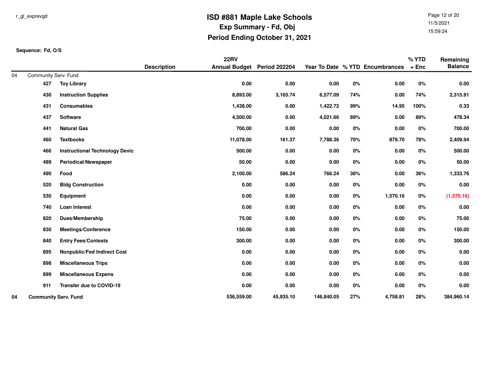Page 12 of 2011/5/202115:59:24

|    |                             |                                       |                    | <b>22RV</b>                 |           |            |       |                                 | % YTD   | Remaining      |
|----|-----------------------------|---------------------------------------|--------------------|-----------------------------|-----------|------------|-------|---------------------------------|---------|----------------|
|    |                             |                                       | <b>Description</b> | Annual Budget Period 202204 |           |            |       | Year To Date % YTD Encumbrances | $+$ Enc | <b>Balance</b> |
| 04 | Community Serv. Fund        |                                       |                    |                             |           |            |       |                                 |         |                |
|    | 427                         | <b>Toy Library</b>                    |                    | 0.00                        | 0.00      | 0.00       | 0%    | 0.00                            | 0%      | 0.00           |
|    | 430                         | <b>Instruction Supplies</b>           |                    | 8,893.00                    | 3,165.74  | 6,577.09   | 74%   | 0.00                            | 74%     | 2,315.91       |
|    | 431                         | <b>Consumables</b>                    |                    | 1,438.00                    | $0.00\,$  | 1,422.72   | 99%   | 14.95                           | 100%    | 0.33           |
|    | 437                         | Software                              |                    | 4,500.00                    | 0.00      | 4,021.66   | 89%   | 0.00                            | 89%     | 478.34         |
|    | 441                         | <b>Natural Gas</b>                    |                    | 700.00                      | 0.00      | 0.00       | $0\%$ | 0.00                            | $0\%$   | 700.00         |
|    | 460                         | <b>Textbooks</b>                      |                    | 11,078.00                   | 161.37    | 7,788.36   | 70%   | 879.70                          | 78%     | 2,409.94       |
|    | 466                         | <b>Instructional Technology Devic</b> |                    | 500.00                      | 0.00      | 0.00       | $0\%$ | 0.00                            | $0\%$   | 500.00         |
|    | 489                         | Periodical/Newspaper                  |                    | 50.00                       | 0.00      | 0.00       | $0\%$ | 0.00                            | $0\%$   | 50.00          |
|    | 490                         | Food                                  |                    | 2,100.00                    | 586.24    | 766.24     | 36%   | 0.00                            | 36%     | 1,333.76       |
|    | 520                         | <b>Bldg Construction</b>              |                    | 0.00                        | 0.00      | 0.00       | 0%    | 0.00                            | 0%      | 0.00           |
|    | 530                         | Equipment                             |                    | 0.00                        | 0.00      | 0.00       | 0%    | 1,570.16                        | $0\%$   | (1,570.16)     |
|    | 740                         | <b>Loan Interest</b>                  |                    | 0.00                        | 0.00      | 0.00       | 0%    | 0.00                            | $0\%$   | 0.00           |
|    | 820                         | Dues/Membership                       |                    | 75.00                       | 0.00      | 0.00       | $0\%$ | 0.00                            | $0\%$   | 75.00          |
|    | 830                         | <b>Meetings/Conference</b>            |                    | 150.00                      | $0.00\,$  | 0.00       | $0\%$ | 0.00                            | $0\%$   | 150.00         |
|    | 840                         | <b>Entry Fees/Contests</b>            |                    | 300.00                      | 0.00      | 0.00       | 0%    | 0.00                            | 0%      | 300.00         |
|    | 895                         | <b>Nonpublic/Fed Indirect Cost</b>    |                    | 0.00                        | 0.00      | 0.00       | 0%    | 0.00                            | $0\%$   | 0.00           |
|    | 898                         | <b>Miscellaneous Trips</b>            |                    | 0.00                        | 0.00      | 0.00       | 0%    | 0.00                            | 0%      | 0.00           |
|    | 899                         | <b>Miscellaneous Expens</b>           |                    | 0.00                        | 0.00      | 0.00       | $0\%$ | 0.00                            | 0%      | 0.00           |
|    | 911                         | Transfer due to COVID-19              |                    | 0.00                        | $0.00\,$  | 0.00       | $0\%$ | 0.00                            | $0\%$   | 0.00           |
| 04 | <b>Community Serv. Fund</b> |                                       |                    | 536,559.00                  | 45,935.10 | 146,840.05 | 27%   | 4,758.81                        | 28%     | 384,960.14     |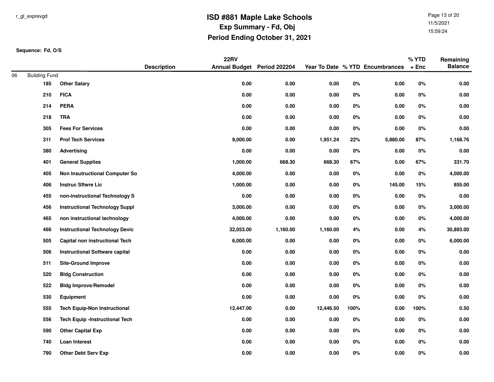Page 13 of 2011/5/202115:59:24

|    |                      |                                       |                    | <b>22RV</b>                 |          |           |       |                                 | % YTD   | Remaining      |
|----|----------------------|---------------------------------------|--------------------|-----------------------------|----------|-----------|-------|---------------------------------|---------|----------------|
|    |                      |                                       | <b>Description</b> | Annual Budget Period 202204 |          |           |       | Year To Date % YTD Encumbrances | $+$ Enc | <b>Balance</b> |
| 06 | <b>Building Fund</b> |                                       |                    |                             |          |           |       |                                 |         |                |
|    | 185                  | <b>Other Salary</b>                   |                    | 0.00                        | 0.00     | $0.00\,$  | $0\%$ | 0.00                            | $0\%$   | $0.00\,$       |
|    | 210                  | <b>FICA</b>                           |                    | 0.00                        | 0.00     | 0.00      | 0%    | 0.00                            | 0%      | 0.00           |
|    | 214                  | <b>PERA</b>                           |                    | 0.00                        | 0.00     | 0.00      | 0%    | 0.00                            | 0%      | 0.00           |
|    | 218                  | <b>TRA</b>                            |                    | 0.00                        | 0.00     | 0.00      | 0%    | 0.00                            | 0%      | 0.00           |
|    | 305                  | <b>Fees For Services</b>              |                    | 0.00                        | 0.00     | $0.00\,$  | 0%    | 0.00                            | $0\%$   | $0.00\,$       |
|    | 311                  | <b>Prof Tech Services</b>             |                    | 9,000.00                    | 0.00     | 1,951.24  | 22%   | 5,880.00                        | 87%     | 1,168.76       |
|    | 380                  | Advertising                           |                    | 0.00                        | 0.00     | 0.00      | 0%    | 0.00                            | 0%      | 0.00           |
|    | 401                  | <b>General Supplies</b>               |                    | 1,000.00                    | 668.30   | 668.30    | 67%   | 0.00                            | 67%     | 331.70         |
|    | 405                  | <b>Non Insutructional Computer So</b> |                    | 4,000.00                    | 0.00     | $0.00\,$  | $0\%$ | 0.00                            | $0\%$   | 4,000.00       |
|    | 406                  | <b>Instruc Sftwre Lic</b>             |                    | 1,000.00                    | 0.00     | $0.00\,$  | 0%    | 145.00                          | 15%     | 855.00         |
|    | 455                  | non-instructional Technology S        |                    | 0.00                        | 0.00     | 0.00      | 0%    | $0.00\,$                        | $0\%$   | $0.00\,$       |
|    | 456                  | <b>Instructional Technology Suppl</b> |                    | 3,000.00                    | 0.00     | 0.00      | 0%    | 0.00                            | $0\%$   | 3,000.00       |
|    | 465                  | non instructional technology          |                    | 4,000.00                    | 0.00     | 0.00      | 0%    | 0.00                            | $0\%$   | 4,000.00       |
|    | 466                  | <b>Instructional Technology Devic</b> |                    | 32,053.00                   | 1,160.00 | 1,160.00  | 4%    | 0.00                            | 4%      | 30,893.00      |
|    | 505                  | Capital non instructional Tech        |                    | 6,000.00                    | 0.00     | 0.00      | 0%    | 0.00                            | 0%      | 6,000.00       |
|    | 506                  | <b>Instructional Software capital</b> |                    | 0.00                        | 0.00     | 0.00      | 0%    | 0.00                            | 0%      | 0.00           |
|    | 511                  | <b>Site-Ground Improve</b>            |                    | 0.00                        | 0.00     | 0.00      | 0%    | 0.00                            | 0%      | 0.00           |
|    | 520                  | <b>Bldg Construction</b>              |                    | 0.00                        | 0.00     | 0.00      | 0%    | 0.00                            | 0%      | $0.00\,$       |
|    | 522                  | <b>Bldg Improve/Remodel</b>           |                    | 0.00                        | 0.00     | 0.00      | 0%    | 0.00                            | 0%      | $0.00\,$       |
|    | 530                  | <b>Equipment</b>                      |                    | 0.00                        | 0.00     | 0.00      | 0%    | 0.00                            | 0%      | 0.00           |
|    | 555                  | <b>Tech Equip-Non Instructional</b>   |                    | 12,447.00                   | 0.00     | 12,446.50 | 100%  | 0.00                            | 100%    | 0.50           |
|    | 556                  | <b>Tech Equip -Instructional Tech</b> |                    | 0.00                        | 0.00     | $0.00\,$  | 0%    | 0.00                            | $0\%$   | $0.00\,$       |
|    | 590                  | <b>Other Capital Exp</b>              |                    | 0.00                        | 0.00     | 0.00      | 0%    | 0.00                            | 0%      | $0.00\,$       |
|    | 740                  | Loan Interest                         |                    | 0.00                        | 0.00     | 0.00      | 0%    | 0.00                            | 0%      | $0.00\,$       |
|    | 790                  | <b>Other Debt Serv Exp</b>            |                    | 0.00                        | 0.00     | 0.00      | $0\%$ | 0.00                            | 0%      | $0.00\,$       |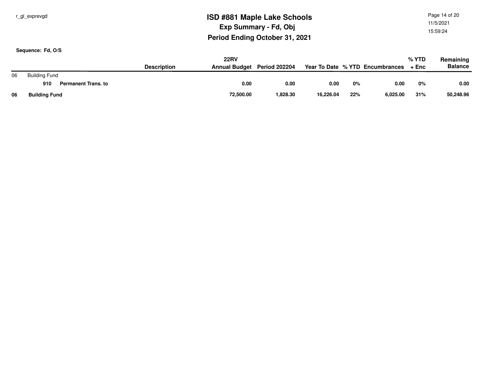r\_gl\_exprevgd

## **ISD #881 Maple Lake SchoolsExp Summary - Fd, ObjPeriod Ending October 31, 2021**

Page 14 of 2011/5/202115:59:24

|    | <b>22RV</b>                       |                    |                             |          |           |     |                                 | % YTD | Remaining      |
|----|-----------------------------------|--------------------|-----------------------------|----------|-----------|-----|---------------------------------|-------|----------------|
|    |                                   | <b>Description</b> | Annual Budget Period 202204 |          |           |     | Year To Date % YTD Encumbrances | + Enc | <b>Balance</b> |
| 06 | <b>Building Fund</b>              |                    |                             |          |           |     |                                 |       |                |
|    | 910<br><b>Permanent Trans, to</b> |                    | 0.00                        | 0.00     | 0.00      | 0%  | 0.00                            | 0%    | 0.00           |
| 06 | <b>Building Fund</b>              |                    | 72,500.00                   | 1,828.30 | 16,226.04 | 22% | 6.025.00                        | 31%   | 50,248.96      |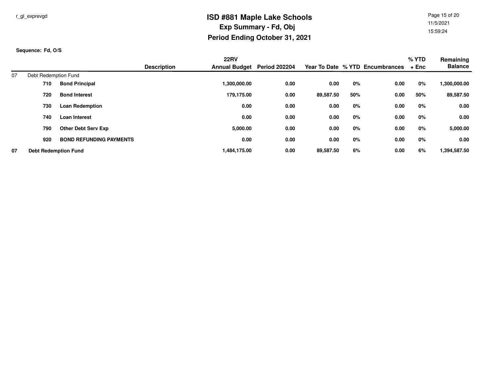Page 15 of 2011/5/202115:59:24

|    |                             |                                |                    | <b>22RV</b>          |                      |           |     |                                 | $%$ YTD | Remaining      |
|----|-----------------------------|--------------------------------|--------------------|----------------------|----------------------|-----------|-----|---------------------------------|---------|----------------|
|    |                             |                                | <b>Description</b> | <b>Annual Budget</b> | <b>Period 202204</b> |           |     | Year To Date % YTD Encumbrances | + Enc   | <b>Balance</b> |
| 07 | Debt Redemption Fund        |                                |                    |                      |                      |           |     |                                 |         |                |
|    | 710                         | <b>Bond Principal</b>          |                    | 1,300,000.00         | 0.00                 | 0.00      | 0%  | 0.00                            | 0%      | 1,300,000.00   |
|    | 720                         | <b>Bond Interest</b>           |                    | 179.175.00           | 0.00                 | 89,587.50 | 50% | 0.00                            | 50%     | 89,587.50      |
|    | 730                         | <b>Loan Redemption</b>         |                    | 0.00                 | 0.00                 | 0.00      | 0%  | 0.00                            | 0%      | 0.00           |
|    | 740                         | Loan Interest                  |                    | 0.00                 | 0.00                 | 0.00      | 0%  | 0.00                            | 0%      | 0.00           |
|    | 790                         | <b>Other Debt Serv Exp</b>     |                    | 5,000.00             | 0.00                 | 0.00      | 0%  | 0.00                            | 0%      | 5,000.00       |
|    | 920                         | <b>BOND REFUNDING PAYMENTS</b> |                    | 0.00                 | 0.00                 | 0.00      | 0%  | 0.00                            | 0%      | 0.00           |
| 07 | <b>Debt Redemption Fund</b> |                                |                    | 1,484,175.00         | 0.00                 | 89,587.50 | 6%  | 0.00                            | 6%      | 1,394,587.50   |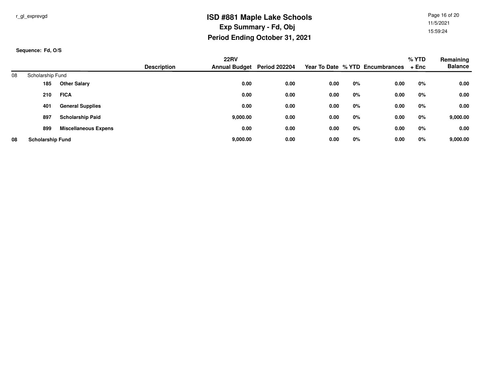Page 16 of 2011/5/202115:59:24

|    |                         |                             |                    | <b>22RV</b>                 |      |      |    |                                 | % YTD | Remaining      |
|----|-------------------------|-----------------------------|--------------------|-----------------------------|------|------|----|---------------------------------|-------|----------------|
|    |                         |                             | <b>Description</b> | Annual Budget Period 202204 |      |      |    | Year To Date % YTD Encumbrances | + Enc | <b>Balance</b> |
| 08 | Scholarship Fund        |                             |                    |                             |      |      |    |                                 |       |                |
|    | 185                     | <b>Other Salary</b>         |                    | 0.00                        | 0.00 | 0.00 | 0% | 0.00                            | 0%    | 0.00           |
|    | 210                     | <b>FICA</b>                 |                    | 0.00                        | 0.00 | 0.00 | 0% | 0.00                            | 0%    | 0.00           |
|    | 401                     | <b>General Supplies</b>     |                    | 0.00                        | 0.00 | 0.00 | 0% | 0.00                            | $0\%$ | 0.00           |
|    | 897                     | <b>Scholarship Paid</b>     |                    | 9,000.00                    | 0.00 | 0.00 | 0% | 0.00                            | 0%    | 9,000.00       |
|    | 899                     | <b>Miscellaneous Expens</b> |                    | 0.00                        | 0.00 | 0.00 | 0% | 0.00                            | 0%    | 0.00           |
| 08 | <b>Scholarship Fund</b> |                             |                    | 9,000.00                    | 0.00 | 0.00 | 0% | 0.00                            | 0%    | 9,000.00       |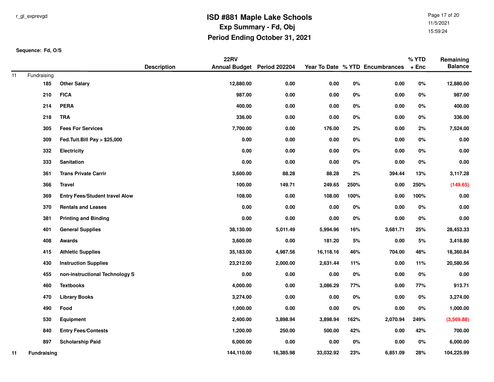Page 17 of 2011/5/202115:59:24

|    |                    |                                       |                    | <b>22RV</b>                 |           |           |       |                                 | % YTD   | Remaining      |
|----|--------------------|---------------------------------------|--------------------|-----------------------------|-----------|-----------|-------|---------------------------------|---------|----------------|
|    |                    |                                       | <b>Description</b> | Annual Budget Period 202204 |           |           |       | Year To Date % YTD Encumbrances | $+$ Enc | <b>Balance</b> |
| 11 | Fundraising<br>185 | <b>Other Salary</b>                   |                    | 12,880.00                   | 0.00      | 0.00      | $0\%$ | 0.00                            | $0\%$   | 12,880.00      |
|    | 210                | <b>FICA</b>                           |                    | 987.00                      | 0.00      | 0.00      | 0%    | 0.00                            | $0\%$   | 987.00         |
|    |                    |                                       |                    |                             |           |           |       |                                 |         |                |
|    | 214                | <b>PERA</b>                           |                    | 400.00                      | 0.00      | 0.00      | 0%    | 0.00                            | 0%      | 400.00         |
|    | 218                | <b>TRA</b>                            |                    | 336.00                      | 0.00      | 0.00      | 0%    | $0.00\,$                        | $0\%$   | 336.00         |
|    | 305                | <b>Fees For Services</b>              |                    | 7,700.00                    | 0.00      | 176.00    | 2%    | $0.00\,$                        | 2%      | 7,524.00       |
|    | 309                | Fed.Tuit.Bill Pay > \$25,000          |                    | 0.00                        | 0.00      | 0.00      | 0%    | 0.00                            | 0%      | 0.00           |
|    | 332                | <b>Electricity</b>                    |                    | 0.00                        | 0.00      | 0.00      | 0%    | 0.00                            | 0%      | 0.00           |
|    | 333                | Sanitation                            |                    | 0.00                        | 0.00      | $0.00\,$  | $0\%$ | $0.00\,$                        | $0\%$   | 0.00           |
|    | 361                | <b>Trans Private Carrir</b>           |                    | 3,600.00                    | 88.28     | 88.28     | 2%    | 394.44                          | 13%     | 3,117.28       |
|    | 366                | <b>Travel</b>                         |                    | 100.00                      | 149.71    | 249.65    | 250%  | 0.00                            | 250%    | (149.65)       |
|    | 369                | <b>Entry Fees/Student travel Alow</b> |                    | 108.00                      | 0.00      | 108.00    | 100%  | 0.00                            | 100%    | 0.00           |
|    | 370                | <b>Rentals and Leases</b>             |                    | 0.00                        | 0.00      | 0.00      | $0\%$ | $0.00\,$                        | $0\%$   | 0.00           |
|    | 381                | <b>Printing and Binding</b>           |                    | 0.00                        | 0.00      | 0.00      | 0%    | 0.00                            | $0\%$   | 0.00           |
|    | 401                | <b>General Supplies</b>               |                    | 38,130.00                   | 5,011.49  | 5,994.96  | 16%   | 3,681.71                        | 25%     | 28,453.33      |
|    | 408                | Awards                                |                    | 3,600.00                    | 0.00      | 181.20    | $5%$  | $0.00\,$                        | $5%$    | 3,418.80       |
|    | 415                | <b>Athletic Supplies</b>              |                    | 35,183.00                   | 4,987.56  | 16,118.16 | 46%   | 704.00                          | 48%     | 18,360.84      |
|    | 430                | <b>Instruction Supplies</b>           |                    | 23,212.00                   | 2,000.00  | 2,631.44  | 11%   | 0.00                            | 11%     | 20,580.56      |
|    | 455                | non-instructional Technology S        |                    | 0.00                        | 0.00      | 0.00      | 0%    | 0.00                            | 0%      | 0.00           |
|    | 460                | <b>Textbooks</b>                      |                    | 4,000.00                    | 0.00      | 3,086.29  | 77%   | 0.00                            | 77%     | 913.71         |
|    | 470                | <b>Library Books</b>                  |                    | 3,274.00                    | 0.00      | $0.00\,$  | $0\%$ | $0.00\,$                        | 0%      | 3,274.00       |
|    | 490                | Food                                  |                    | 1,000.00                    | 0.00      | 0.00      | $0\%$ | 0.00                            | 0%      | 1,000.00       |
|    | 530                | Equipment                             |                    | 2,400.00                    | 3,898.94  | 3,898.94  | 162%  | 2,070.94                        | 249%    | (3,569.88)     |
|    | 840                | <b>Entry Fees/Contests</b>            |                    | 1,200.00                    | 250.00    | 500.00    | 42%   | 0.00                            | 42%     | 700.00         |
|    | 897                | <b>Scholarship Paid</b>               |                    | 6,000.00                    | 0.00      | $0.00\,$  | 0%    | 0.00                            | $0\%$   | 6,000.00       |
| 11 | <b>Fundraising</b> |                                       |                    | 144,110.00                  | 16,385.98 | 33,032.92 | 23%   | 6,851.09                        | 28%     | 104,225.99     |
|    |                    |                                       |                    |                             |           |           |       |                                 |         |                |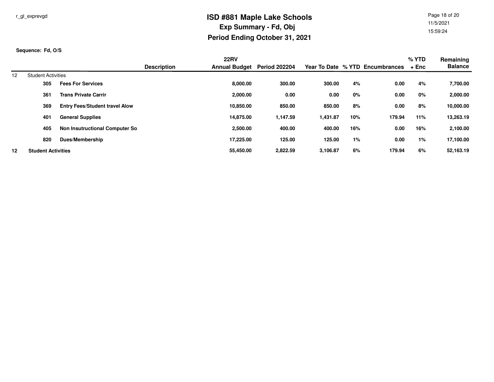Page 18 of 2011/5/202115:59:24

|    |                           |                                       |                    | <b>22RV</b>          |                      |          |     |                                 | % YTD | Remaining      |
|----|---------------------------|---------------------------------------|--------------------|----------------------|----------------------|----------|-----|---------------------------------|-------|----------------|
|    |                           |                                       | <b>Description</b> | <b>Annual Budget</b> | <b>Period 202204</b> |          |     | Year To Date % YTD Encumbrances | + Enc | <b>Balance</b> |
| 12 | <b>Student Activities</b> |                                       |                    |                      |                      |          |     |                                 |       |                |
|    | 305                       | <b>Fees For Services</b>              |                    | 8,000.00             | 300.00               | 300.00   | 4%  | 0.00                            | 4%    | 7,700.00       |
|    | 361                       | <b>Trans Private Carrir</b>           |                    | 2,000.00             | 0.00                 | 0.00     | 0%  | 0.00                            | 0%    | 2,000.00       |
|    | 369                       | <b>Entry Fees/Student travel Alow</b> |                    | 10.850.00            | 850.00               | 850.00   | 8%  | 0.00                            | 8%    | 10,000.00      |
|    | 401                       | <b>General Supplies</b>               |                    | 14.875.00            | 1,147.59             | 1,431.87 | 10% | 179.94                          | 11%   | 13,263.19      |
|    | 405                       | Non Insutructional Computer So        |                    | 2,500.00             | 400.00               | 400.00   | 16% | 0.00                            | 16%   | 2,100.00       |
|    | 820                       | Dues/Membership                       |                    | 17.225.00            | 125.00               | 125.00   | 1%  | 0.00                            | $1\%$ | 17,100.00      |
| 12 | <b>Student Activities</b> |                                       |                    | 55,450.00            | 2,822.59             | 3,106.87 | 6%  | 179.94                          | 6%    | 52,163.19      |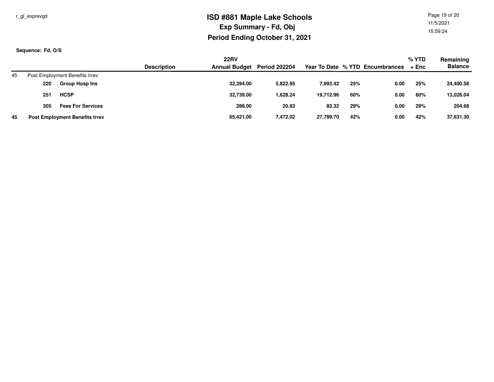r\_gl\_exprevgd

## **ISD #881 Maple Lake SchoolsExp Summary - Fd, ObjPeriod Ending October 31, 2021**

Page 19 of 2011/5/202115:59:24

|    |                                       |                    | <b>22RV</b>                 |          |           |     |                                 | $%$ YTD | Remaining      |
|----|---------------------------------------|--------------------|-----------------------------|----------|-----------|-----|---------------------------------|---------|----------------|
|    |                                       | <b>Description</b> | Annual Budget Period 202204 |          |           |     | Year To Date % YTD Encumbrances | + Enc   | <b>Balance</b> |
| 45 | Post Employment Benefits Irrev        |                    |                             |          |           |     |                                 |         |                |
|    | <b>Group Hosp Ins</b><br>220          |                    | 32,394.00                   | 5.822.95 | 7,993.42  | 25% | 0.00                            | 25%     | 24,400.58      |
|    | <b>HCSP</b><br>251                    |                    | 32,739.00                   | 1.628.24 | 19.712.96 | 60% | 0.00                            | 60%     | 13,026.04      |
|    | <b>Fees For Services</b><br>305       |                    | 288.00                      | 20.83    | 83.32     | 29% | 0.00                            | 29%     | 204.68         |
| 45 | <b>Post Employment Benefits Irrev</b> |                    | 65,421.00                   | 7,472.02 | 27,789.70 | 42% | 0.00                            | 42%     | 37,631.30      |